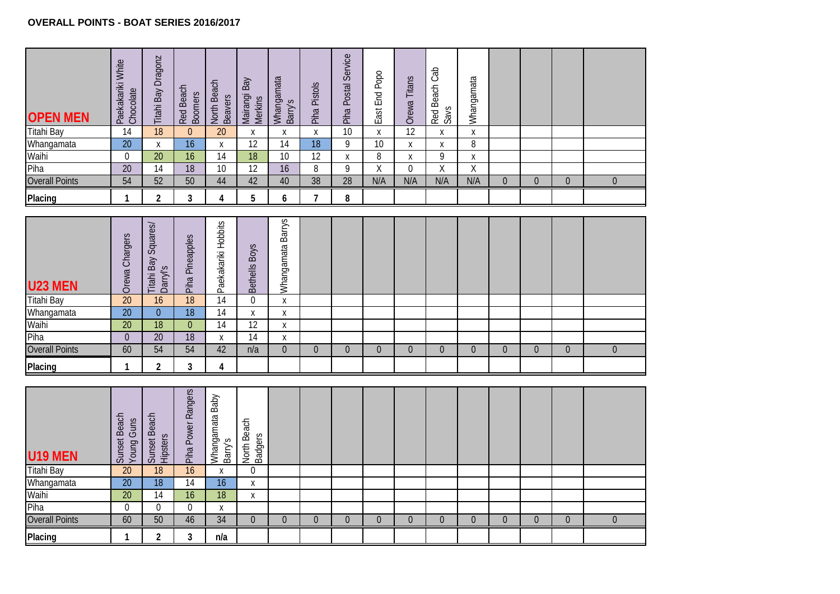and the contract of the contract of

| <b>Titahi Bay</b><br>Whangamata<br>Waihi                                                        | Chocolate<br>14<br>$\overline{20}$<br>$\overline{0}$<br>$\overline{20}$<br>54<br>$\mathbf{1}$                 | $\overline{18}$<br>X<br>$\overline{20}$<br>14<br>52<br>$\overline{2}$                                                       | Red Beach<br>Boomers<br>$\mathbf{0}$<br>16<br>$\overline{16}$<br>18<br>50                | <b>Beavers</b><br>20<br>$\pmb{\chi}$<br>14<br>10                                                   | Mairangi Bay<br>Merkins<br>X<br>12                             | Whangamata<br>Barry's<br>X<br>14                                   | $\mathsf{X}$   |                 |                    |                | Red Beach Cab<br>Savs   | Whangamata     |                |                |                |                  |
|-------------------------------------------------------------------------------------------------|---------------------------------------------------------------------------------------------------------------|-----------------------------------------------------------------------------------------------------------------------------|------------------------------------------------------------------------------------------|----------------------------------------------------------------------------------------------------|----------------------------------------------------------------|--------------------------------------------------------------------|----------------|-----------------|--------------------|----------------|-------------------------|----------------|----------------|----------------|----------------|------------------|
|                                                                                                 |                                                                                                               |                                                                                                                             |                                                                                          |                                                                                                    |                                                                |                                                                    |                | 10              | $\pmb{\mathsf{X}}$ | 12             | Χ                       | $\mathsf X$    |                |                |                |                  |
|                                                                                                 |                                                                                                               |                                                                                                                             |                                                                                          |                                                                                                    |                                                                |                                                                    | 18             | $\overline{9}$  | 10                 | X              | X                       | $\overline{8}$ |                |                |                |                  |
|                                                                                                 |                                                                                                               |                                                                                                                             |                                                                                          |                                                                                                    | $\overline{18}$                                                | 10                                                                 | 12             | Χ               | $\overline{8}$     | Χ              | 9                       | Χ              |                |                |                |                  |
| Piha                                                                                            |                                                                                                               |                                                                                                                             |                                                                                          |                                                                                                    | 12                                                             | $\overline{16}$                                                    | $\overline{8}$ | $\overline{9}$  | $\overline{X}$     | $\overline{0}$ | $\overline{\mathsf{X}}$ | $\overline{X}$ |                |                |                |                  |
| <b>Overall Points</b>                                                                           |                                                                                                               |                                                                                                                             |                                                                                          | 44                                                                                                 | 42                                                             | 40                                                                 | 38             | $\overline{28}$ | N/A                | N/A            | N/A                     | N/A            | $\mathbf 0$    | $\overline{0}$ | $\overline{0}$ | $\boldsymbol{0}$ |
| Placing                                                                                         |                                                                                                               |                                                                                                                             | 3                                                                                        | $\overline{4}$                                                                                     | 5                                                              | 6                                                                  | $\overline{7}$ | 8               |                    |                |                         |                |                |                |                |                  |
| U23 MEN<br><b>Titahi Bay</b><br>Whangamata<br>Waihi<br>Piha<br><b>Overall Points</b><br>Placing | Orewa Chargers<br>$\overline{20}$<br>$\overline{20}$<br>$\overline{20}$<br>$\mathbf 0$<br>60<br>$\mathbf{1}$  | <b>Titahi Bay Squares/</b><br>Darry's<br>$\overline{16}$<br>$\overline{0}$<br>18<br>$\overline{20}$<br>54<br>$\overline{2}$ | Piha Pineapples<br>18<br>$\overline{18}$<br>$\overline{0}$<br>$\overline{18}$<br>54<br>3 | Paekakariki Hobbits<br>14<br>$\overline{14}$<br>$\overline{14}$<br>$\mathsf{X}$<br>42<br>4         | Bethells Boys<br>$\theta$<br>X<br>$\overline{12}$<br>14<br>n/a | Whangamata Barrys<br>$\mathsf{X}$<br>Χ<br>Χ<br>Χ<br>$\overline{0}$ | $\overline{0}$ | $\overline{0}$  | $\mathbf 0$        | $\overline{0}$ | $\overline{0}$          | $\overline{0}$ | $\overline{0}$ | $\overline{0}$ | $\overline{0}$ | $\overline{0}$   |
| U19 MEN<br><b>Titahi Bay</b><br>Whangamata<br>Waihi<br>Piha<br><b>Overall Points</b><br>Placing | Sunset Beach<br>Young Guns<br>$\overline{20}$<br>$\overline{20}$<br>$\overline{20}$<br>$\mathbf 0$<br>60<br>1 | Sunset Beach<br>Hipsters<br>$\overline{18}$<br>$\overline{18}$<br>14<br>$\mathbf 0$<br>50<br>$\overline{c}$                 | Piha Power Rangers<br>$\overline{16}$<br>$\overline{14}$<br>16<br>$\Omega$<br>46<br>3    | Whangamata Baby<br>Barry's<br>$\mathsf{X}$<br>$\overline{16}$<br>$\overline{18}$<br>X<br>34<br>n/a | North Beach<br>Badgers<br>$\mathbf 0$<br>X<br>X<br>$\Omega$    | $\Omega$                                                           | $\Omega$       | $\Omega$        | $\Omega$           | $\Omega$       | $\boldsymbol{0}$        | $\overline{0}$ | $\Omega$       | $\Omega$       | $\overline{0}$ | $\boldsymbol{0}$ |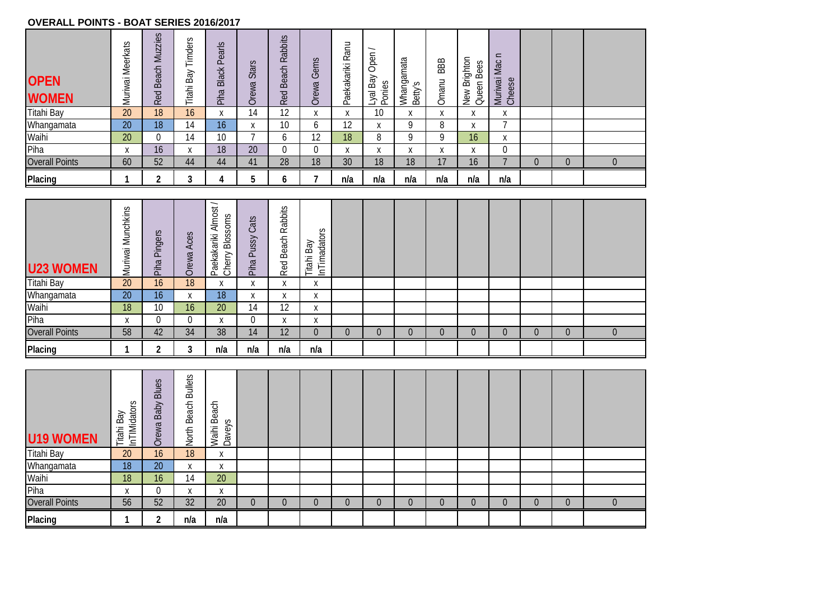## **OVERALL POINTS - BOAT SERIES 2016/2017**

| <b>OPEN</b><br><b>WOMEN</b> | S<br>Meerkat<br>Muriwai | <b>Muzzies</b><br>Beach<br>Red | $\sim$<br>imders<br>⊢<br>ΚĐ<br>m<br>Titahi | Pearls<br><b>Black</b><br>Piha | $\sigma$<br>Star<br>Orewa | abbits<br>$\sim$<br>each<br>മ<br>$\mathcal{B}$<br>$\propto$ | Gems<br>Orewa     | Ranu<br>Paekakariki | ∽<br>Open<br>δ<br>Ponies<br>$\infty$<br>Jal | Whangamata<br>Betty's | 88B<br>Omanu | Brighton<br>$\sim$<br>Bee:<br>Queen<br>New | $\mathbf{C}$<br>Mac<br>İ<br>Cheese<br>Muriwai |          |          |  |
|-----------------------------|-------------------------|--------------------------------|--------------------------------------------|--------------------------------|---------------------------|-------------------------------------------------------------|-------------------|---------------------|---------------------------------------------|-----------------------|--------------|--------------------------------------------|-----------------------------------------------|----------|----------|--|
| <b>Titahi Bay</b>           | 20                      | 18                             | 16                                         | X                              | 14                        | 12                                                          | $\mathbf{v}$<br>∧ | X                   | 10                                          | X                     | X            | $\mathbf{v}$<br>A                          | X                                             |          |          |  |
| Whangamata                  | 20                      | 18                             | 14                                         | 16                             | $\checkmark$<br>$\Lambda$ | 10                                                          | b                 | 12                  | X                                           | 9                     | 8            | X                                          |                                               |          |          |  |
| Waihi                       | 20                      | 0                              | 14                                         | 10 <sup>°</sup>                |                           | b                                                           | 12                | 18                  | 8                                           | 9                     | 9            | 16                                         | X                                             |          |          |  |
| Piha                        | Χ                       | 16                             | X                                          | 18                             | 20                        | υ                                                           |                   | x                   | $\mathbf v$<br>A                            | X                     | X            | X                                          | 0                                             |          |          |  |
| <b>Overall Points</b>       | 60                      | 52                             | 44                                         | 44                             | 41                        | 28                                                          | 18                | 30                  | 18                                          | 18                    | 17           | 16                                         |                                               | $\theta$ | $\Omega$ |  |
| Placing                     |                         | ົ                              |                                            |                                | h                         | O                                                           |                   | n/a                 | n/a                                         | n/a                   | n/a          | n/a                                        | n/a                                           |          |          |  |

| <b>U23 WOMEN</b>      | Munchkins<br>Muriwai | Pingers<br>Piha | Aces<br>Orewa   | $\overline{\phantom{0}}$<br>ದ<br>Almo:<br>Soms<br>Bloss<br>洷<br>؎<br>$\sigma$<br>き<br>Cherry<br>$\overline{\underline{\quad }}$<br>த<br>$\Omega$ | Cats<br>ussy<br>$\Omega$<br>Piha | S<br>abbit:<br>∝<br>Beach<br>ЪΘ<br>$\propto$ | lators<br>Bay<br><b>Fimad</b><br>Titahi<br>그 |          |   |          |          |          |   |  |
|-----------------------|----------------------|-----------------|-----------------|--------------------------------------------------------------------------------------------------------------------------------------------------|----------------------------------|----------------------------------------------|----------------------------------------------|----------|---|----------|----------|----------|---|--|
| <b>Titahi Bay</b>     | 20                   | 16              | 18              | $\mathbf{v}$<br>ж                                                                                                                                | $\mathbf{v}$<br>A                | v<br>$\Lambda$                               | $\mathbf{v}$<br>$\lambda$                    |          |   |          |          |          |   |  |
| Whangamata            | 20                   | 16              | X               | 18                                                                                                                                               | $\mathbf{v}$<br>$\lambda$        | $\mathbf{v}$<br>A                            | $\mathbf{v}$<br>A                            |          |   |          |          |          |   |  |
| Waihi                 | 18                   | 10              | 16 <sup>1</sup> | 20                                                                                                                                               | 14                               | 12                                           | $\mathbf v$<br>$\lambda$                     |          |   |          |          |          |   |  |
| Piha                  | X                    | 0               |                 | Χ                                                                                                                                                |                                  | X                                            | X                                            |          |   |          |          |          |   |  |
| <b>Overall Points</b> | 58                   | 42              | 34              | 38                                                                                                                                               | 14                               | 12                                           | $\overline{0}$                               | $\Omega$ | 0 | $\Omega$ | $\Omega$ | $\Omega$ | 0 |  |
| Placing               |                      | $\sqrt{2}$      | ົ               | n/a                                                                                                                                              | n/a                              | n/a                                          | n/a                                          |          |   |          |          |          |   |  |

| U19 WOMEN             | S<br>InTIMidator<br>Bay<br>Titahi | Blues<br>Baby<br>Orewa | <b>Bullets</b><br>Beach<br>North | each<br>$\infty$<br>Daveys<br>Waihi |          |   |   |          |          |          |   |   |          |   |          |  |
|-----------------------|-----------------------------------|------------------------|----------------------------------|-------------------------------------|----------|---|---|----------|----------|----------|---|---|----------|---|----------|--|
| Titahi Bay            | 20                                | 16                     | 18                               | $\mathbf v$<br>A                    |          |   |   |          |          |          |   |   |          |   |          |  |
| Whangamata            | 18                                | 20                     | X                                | $\mathbf v$<br>$\lambda$            |          |   |   |          |          |          |   |   |          |   |          |  |
| Waihi                 | 18                                | 16                     | 14                               | 20                                  |          |   |   |          |          |          |   |   |          |   |          |  |
| Piha                  | $\mathbf{v}$<br>A                 | 0                      | X                                | $\mathbf{v}$<br>$\lambda$           |          |   |   |          |          |          |   |   |          |   |          |  |
| <b>Overall Points</b> | 56                                | 52                     | 32                               | 20                                  | $\Omega$ | U | 0 | $\Omega$ | $\theta$ | $\Omega$ | 0 | 0 | $\Omega$ | 0 | $\Omega$ |  |
| Placing               |                                   | ◠                      | n/a                              | n/a                                 |          |   |   |          |          |          |   |   |          |   |          |  |